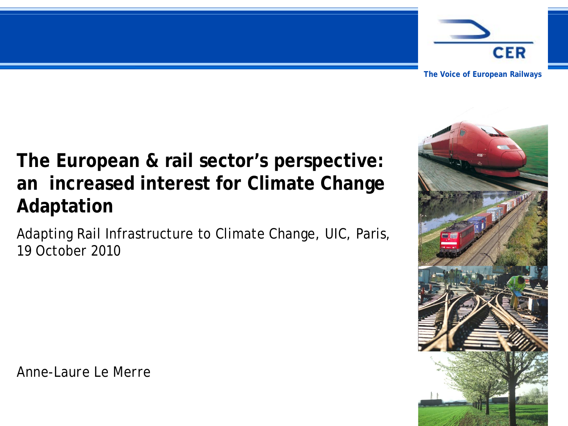

**The Voice of European Railways**

## **The European & rail sector's perspective: an increased interest for Climate Change Adaptation**

Adapting Rail Infrastructure to Climate Change, UIC, Paris, 19 October 2010

*Anne-Laure Le Merre*

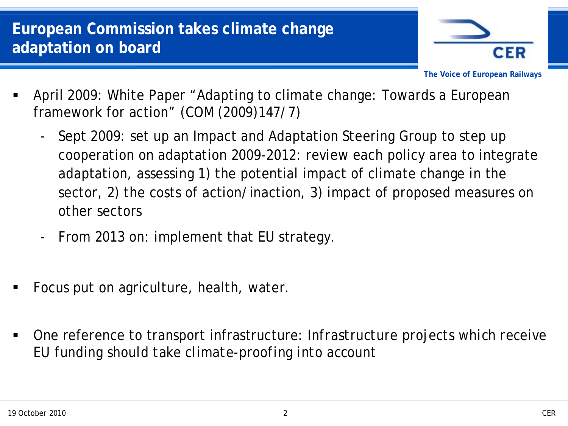

**The Voice of European Railways**

- April 2009: White Paper "Adapting to climate change: Towards a European framework for action" (COM (2009)147/7)
	- Sept 2009: set up an Impact and Adaptation Steering Group to step up cooperation on adaptation 2009-2012: review each policy area to integrate adaptation, assessing 1) the potential impact of climate change in the sector, 2) the costs of action/inaction, 3) impact of proposed measures on other sectors
	- From 2013 on: implement that EU strategy.
- Focus put on agriculture, health, water.
- One reference to transport infrastructure: *Infrastructure projects which receive EU funding should take climate-proofing into account*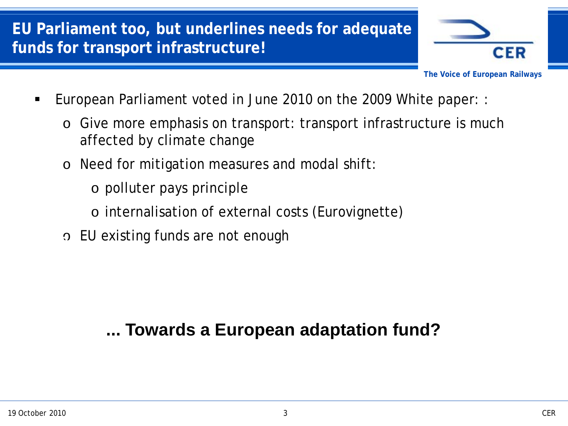## **EU Parliament too, but underlines needs for adequate funds for transport infrastructure!**



**The Voice of European Railways**

- European Parliament voted in June 2010 on the 2009 White paper: :
	- o Give more emphasis on transport: transport infrastructure is much affected by climate change
	- o Need for mitigation measures and modal shift:
		- o polluter pays principle
		- o internalisation of external costs (Eurovignette)
- o EU existing funds are not enough **17/03**

## **... Towards a European adaptation fund?**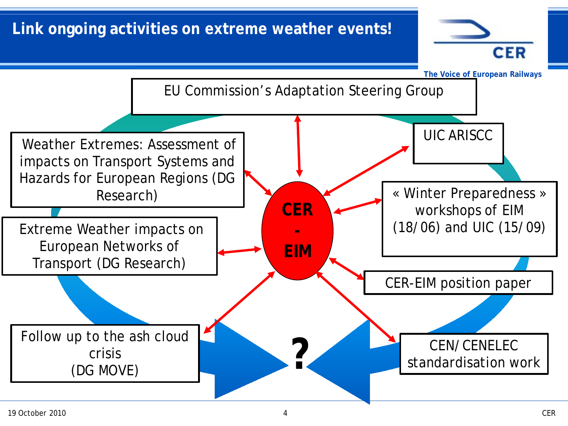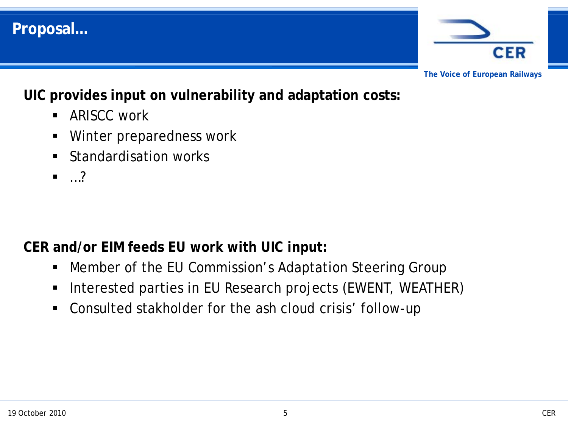

**UIC provides input on vulnerability and adaptation costs:**

- ARISCC work
- Winter preparedness work
- Standardisation works
- $\blacksquare$ ...?

**Proposal…**

**CER and/or EIM feeds EU work with UIC input:**

- Member of the EU Commission's Adaptation Steering Group
- **Interested parties in EU Research projects (EWENT, WEATHER)**
- Consulted stakholder for the ash cloud crisis' follow-up

**CER**